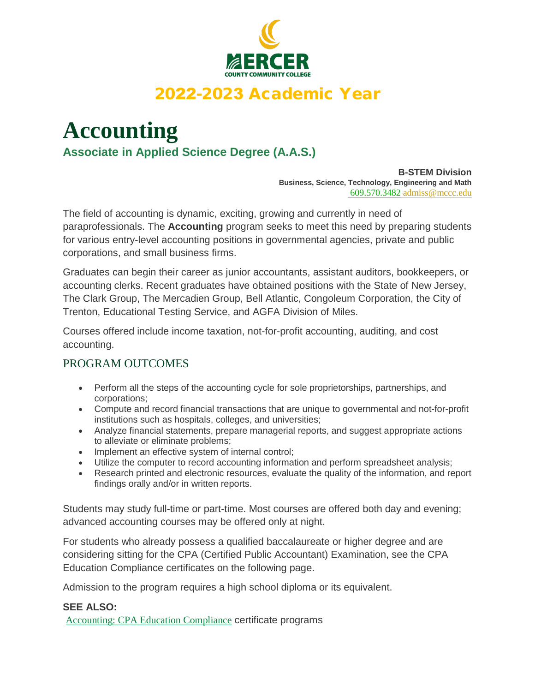

### 2022-2023 Academic Year

# **Accounting Associate in Applied Science Degree (A.A.S.)**

**B-STEM Division Business, Science, Technology, Engineering and Math** 609.570.3482 admiss@mccc.edu

The field of accounting is dynamic, exciting, growing and currently in need of paraprofessionals. The **Accounting** program seeks to meet this need by preparing students for various entry-level accounting positions in governmental agencies, private and public corporations, and small business firms.

Graduates can begin their career as junior accountants, assistant auditors, bookkeepers, or accounting clerks. Recent graduates have obtained positions with the State of New Jersey, The Clark Group, The Mercadien Group, Bell Atlantic, Congoleum Corporation, the City of Trenton, Educational Testing Service, and AGFA Division of Miles.

Courses offered include income taxation, not-for-profit accounting, auditing, and cost accounting.

### PROGRAM OUTCOMES

- Perform all the steps of the accounting cycle for sole proprietorships, partnerships, and corporations;
- Compute and record financial transactions that are unique to governmental and not-for-profit institutions such as hospitals, colleges, and universities;
- Analyze financial statements, prepare managerial reports, and suggest appropriate actions to alleviate or eliminate problems;
- Implement an effective system of internal control;
- Utilize the computer to record accounting information and perform spreadsheet analysis;
- Research printed and electronic resources, evaluate the quality of the information, and report findings orally and/or in written reports.

Students may study full-time or part-time. Most courses are offered both day and evening; advanced accounting courses may be offered only at night.

For students who already possess a qualified baccalaureate or higher degree and are considering sitting for the CPA (Certified Public Accountant) Examination, see the CPA Education Compliance certificates on the following page.

Admission to the program requires a high school diploma or its equivalent.

### **SEE ALSO:**

Accounting: CPA Education Compliance certificate programs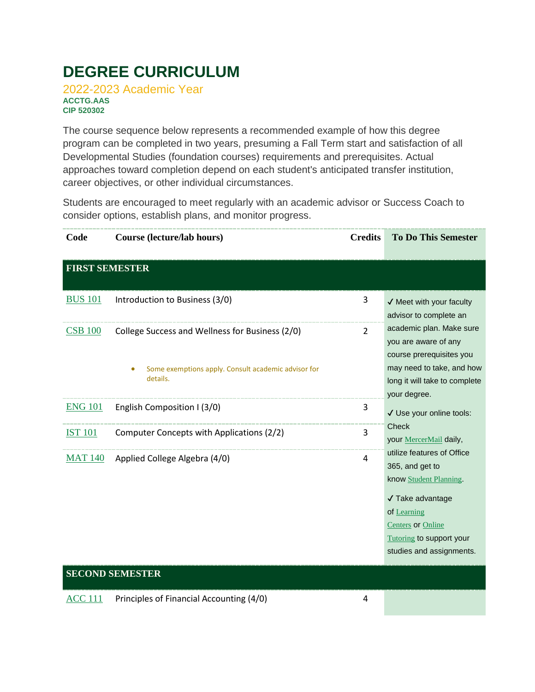## **DEGREE CURRICULUM**

2022-2023 Academic Year **ACCTG.AAS CIP 520302**

The course sequence below represents a recommended example of how this degree program can be completed in two years, presuming a Fall Term start and satisfaction of all Developmental Studies (foundation courses) requirements and prerequisites. Actual approaches toward completion depend on each student's anticipated transfer institution, career objectives, or other individual circumstances.

Students are encouraged to meet regularly with an academic advisor or Success Coach to consider options, establish plans, and monitor progress.

| Code                   | Course (lecture/lab hours)                                                                                                      | <b>Credits</b> | <b>To Do This Semester</b>                                                                                                                                                                                                                                                                                                                                                                                                                                                                          |  |  |  |
|------------------------|---------------------------------------------------------------------------------------------------------------------------------|----------------|-----------------------------------------------------------------------------------------------------------------------------------------------------------------------------------------------------------------------------------------------------------------------------------------------------------------------------------------------------------------------------------------------------------------------------------------------------------------------------------------------------|--|--|--|
| <b>FIRST SEMESTER</b>  |                                                                                                                                 |                |                                                                                                                                                                                                                                                                                                                                                                                                                                                                                                     |  |  |  |
| <b>BUS 101</b>         | Introduction to Business (3/0)                                                                                                  | 3              | $\checkmark$ Meet with your faculty<br>advisor to complete an<br>academic plan. Make sure<br>you are aware of any<br>course prerequisites you<br>may need to take, and how<br>long it will take to complete<br>your degree.<br>√ Use your online tools:<br><b>Check</b><br>your MercerMail daily,<br>utilize features of Office<br>365, and get to<br>know Student Planning.<br>√ Take advantage<br>of Learning<br><b>Centers</b> or Online<br>Tutoring to support your<br>studies and assignments. |  |  |  |
| <b>CSB 100</b>         | College Success and Wellness for Business (2/0)<br>Some exemptions apply. Consult academic advisor for<br>$\bullet$<br>details. | $\overline{2}$ |                                                                                                                                                                                                                                                                                                                                                                                                                                                                                                     |  |  |  |
| <b>ENG 101</b>         | English Composition I (3/0)                                                                                                     | 3              |                                                                                                                                                                                                                                                                                                                                                                                                                                                                                                     |  |  |  |
| <b>IST 101</b>         | Computer Concepts with Applications (2/2)                                                                                       | 3              |                                                                                                                                                                                                                                                                                                                                                                                                                                                                                                     |  |  |  |
| <b>MAT 140</b>         | Applied College Algebra (4/0)                                                                                                   | $\overline{4}$ |                                                                                                                                                                                                                                                                                                                                                                                                                                                                                                     |  |  |  |
| <b>SECOND SEMESTER</b> |                                                                                                                                 |                |                                                                                                                                                                                                                                                                                                                                                                                                                                                                                                     |  |  |  |

ACC 111 Principles of Financial Accounting (4/0) 4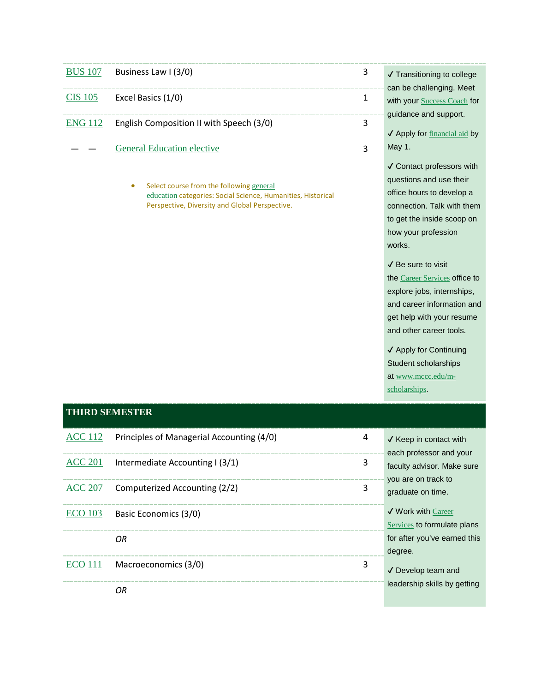| BUS $107$ Business Law I (3/0)                     |  |
|----------------------------------------------------|--|
| $CIS$ 105 Excel Basics (1/0)                       |  |
| $ENG$ 112 English Composition II with Speech (3/0) |  |
| <b>General Education elective</b>                  |  |

• Select course from the following general education categories: Social Science, Humanities, Historical Perspective, Diversity and Global Perspective.

**Transitioning to college** can be challenging. Meet with your **Success Coach** for guidance and support.

◆ Apply for financial aid by May 1.

✔ Contact professors with questions and use their office hours to develop a connection. Talk with them to get the inside scoop on how your profession works.

✔ Be sure to visit the Career Services office to explore jobs, internships, and career information and get help with your resume and other career tools.

✔ Apply for Continuing Student scholarships at www.mccc.edu/mscholarships.

#### **THIRD SEMESTER**

| ACC 112        | Principles of Managerial Accounting (4/0) | 4 | $\checkmark$ Keep in contact with                     |
|----------------|-------------------------------------------|---|-------------------------------------------------------|
| <b>ACC 201</b> | Intermediate Accounting I (3/1)           | 3 | each professor and your<br>faculty advisor. Make sure |
| ACC 207        | Computerized Accounting (2/2)             |   | you are on track to<br>graduate on time.              |
| <b>ECO</b> 103 | Basic Economics (3/0)                     |   | ✔ Work with Career<br>Services to formulate plans     |
|                | 0R                                        |   | for after you've earned this                          |
| <b>ECO</b> 111 | Macroeconomics (3/0)                      |   | degree.<br>$\sqrt{}$ Develop team and                 |
|                |                                           |   | leadership skills by getting                          |